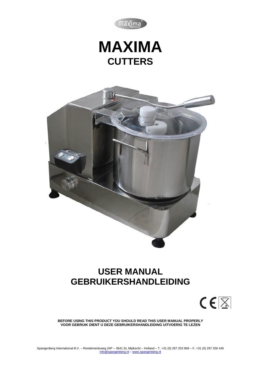

# **MAXIMA CUTTERS**



## **USER MANUAL GEBRUIKERSHANDLEIDING**



**BEFORE USING THIS PRODUCT YOU SHOULD READ THIS USER MANUAL PROPERLY VOOR GEBRUIK DIENT U DEZE GEBRUIKERSHANDLEIDING UITVOERIG TE LEZEN**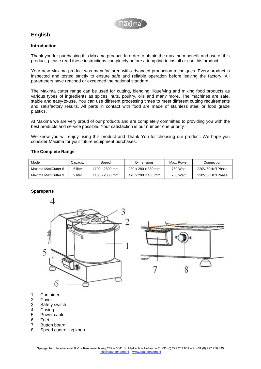

## **English**

## **Introduction**

Thank you for purchasing this Maxima product. In order to obtain the maximum benefit and use of this product, please read these instructions completely before attempting to install or use this product.

Your new Maxima product was manufactured with advanced production techniques. Every product is inspected and tested strictly to ensure safe and reliable operation before leaving the factory. All parameters have reached or exceeded the national standard.

The Maxima cutter range can be used for cutting, blending, liquefying and mixing food products as various types of ingredients as spices, nuts, poultry, oils and many more. The machines are safe, stable and easy-to-use. You can use different processing times to meet different cutting requirements and satisfactory results. All parts in contact with food are made of stainless steel or food grade plastics.

At Maxima we are very proud of our products and are completely committed to providing you with the best products and service possible. Your satisfaction is our number one priority

We know you will enjoy using this product and Thank You for choosing our product. We hope you consider Maxima for your future equipment purchases.

## **The Complete Range**

| Model               | Capacitv | Speed           | <b>Dimensions</b>  | Max. Power | Connection       |
|---------------------|----------|-----------------|--------------------|------------|------------------|
| Maxima MaxiCutter 6 | 6 liter  | 1100 - 2800 rpm | 280 x 280 x 380 mm | 750 Watt   | 220V/50Hz/1Phase |
| Maxima MaxiCutter 9 | 9 liter  | 1100 - 2800 rpm | 470 x 290 x 435 mm | 750 Watt   | 220V/50Hz/1Phase |

## **Spareparts**





- 1. Container
- 2. Cover
- 3. Safety switch
- 4. Casing
- 5. Power cable
- 6. Feet
- 7. Button board
- 8. Speed controlling knob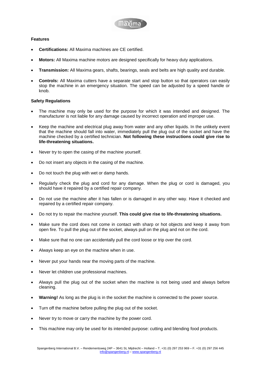

## **Features**

- **Certifications:** All Maxima machines are CE certified.
- **Motors:** All Maxima machine motors are designed specifically for heavy duty applications.
- **Transmission:** All Maxima gears, shafts, bearings, seals and belts are high quality and durable.
- **Controls:** All Maxima cutters have a separate start and stop button so that operators can easily stop the machine in an emergency situation. The speed can be adjusted by a speed handle or knob.

## **Safety Regulations**

- The machine may only be used for the purpose for which it was intended and designed. The manufacturer is not liable for any damage caused by incorrect operation and improper use.
- Keep the machine and electrical plug away from water and any other liquids. In the unlikely event that the machine should fall into water, immediately pull the plug out of the socket and have the machine checked by a certified technician. **Not following these instructions could give rise to life-threatening situations.**
- Never try to open the casing of the machine yourself.
- Do not insert any objects in the casing of the machine.
- Do not touch the plug with wet or damp hands.
- Regularly check the plug and cord for any damage. When the plug or cord is damaged, you should have it repaired by a certified repair company.
- Do not use the machine after it has fallen or is damaged in any other way. Have it checked and repaired by a certified repair company.
- Do not try to repair the machine yourself. **This could give rise to life-threatening situations.**
- Make sure the cord does not come in contact with sharp or hot objects and keep it away from open fire. To pull the plug out of the socket, always pull on the plug and not on the cord.
- Make sure that no one can accidentally pull the cord loose or trip over the cord.
- Always keep an eye on the machine when in use.
- Never put your hands near the moving parts of the machine.
- Never let children use professional machines.
- Always pull the plug out of the socket when the machine is not being used and always before cleaning.
- **Warning!** As long as the plug is in the socket the machine is connected to the power source.
- Turn off the machine before pulling the plug out of the socket.
- Never try to move or carry the machine by the power cord.
- This machine may only be used for its intended purpose: cutting and blending food products.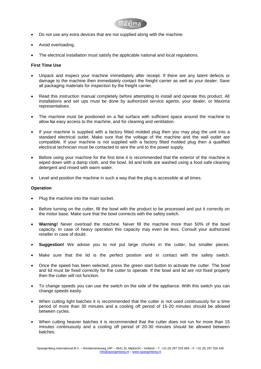

- Do not use any extra devices that are not supplied along with the machine.
- Avoid overloading.
- The electrical installation must satisfy the applicable national and local regulations.

## **First Time Use**

- Unpack and inspect your machine immediately after receipt. If there are any latent defects or damage to the machine then immediately contact the freight carrier as well as your dealer. Save all packaging materials for inspection by the freight carrier.
- Read this instruction manual completely before attempting to install and operate this product. All installations and set ups must be done by authorized service agents, your dealer, or Maxima representatives.
- The machine must be positioned on a flat surface with sufficient space around the machine to allow for easy access to the machine, and for cleaning and ventilation.
- If your machine is supplied with a factory fitted molded plug then you may plug the unit into a standard electrical outlet. Make sure that the voltage of the machine and the wall outlet are compatible. If your machine is not supplied with a factory fitted molded plug then a qualified electrical technician must be contacted to wire the unit to the power supply.
- Before using your machine for the first time it is recommended that the exterior of the machine is wiped down with a damp cloth, and the bowl, lid and knife are washed using a food safe cleaning detergent and rinsed with warm water.
- Level and position the machine in such a way that the plug is accessible at all times.

## **Operation**

- Plug the machine into the main socket.
- Before turning on the cutter, fill the bowl with the product to be processed and put it correctly on the motor base. Make sure that the bowl connects with the safety switch.
- **Warning!** Never overload the machine. Never fill the machine more than 50% of the bowl capacity. In case of heavy operation this capacity may even be less. Consult your authorized reseller in case of doubt.
- **Suggestion!** We advise you to not put large chunks in the cutter, but smaller pieces.
- Make sure that the lid is the perfect position and in contact with the safety switch.
- Once the speed has been selected, press the green start button to activate the cutter. The bowl and lid must be fixed correctly for the cutter to operate. If the bowl and lid are not fixed properly then the cutter will not function.
- To change speeds you can use the switch on the side of the appliance. With this switch you can change speeds easily.
- When cutting light batches it is recommended that the cutter is not used continuously for a time period of more than 30 minutes and a cooling off period of 15-20 minutes should be allowed between cycles.
- When cutting heavier batches it is recommended that the cutter does not run for more than 15 minutes continuously and a cooling off period of 20-30 minutes should be allowed between batches.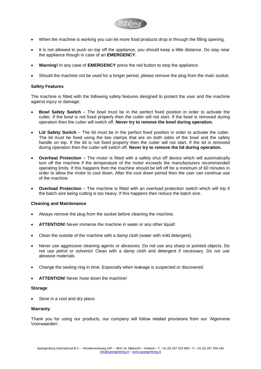

- When the machine is working you can let more food products drop in through the filling opening.
- It is not allowed to push on top off the appliance, you should keep a little distance. Do stay near the appliance though in case of an **EMERGENCY**.
- **Warning!** In any case of **EMERGENCY** press the red button to stop the appliance.
- Should the machine not be used for a longer period, please remove the plug from the main socket.

## **Safety Features**

The machine is fitted with the following safety features designed to protect the user and the machine against injury or damage:

- **Bowl Safety Switch** The bowl must be in the perfect fixed position in order to activate the cutter. If the bowl is not fixed properly then the cutter will not start. If the bowl is removed during operation then the cutter will switch off. **Never try to remove the bowl during operation.**
- **Lid Safety Switch** The lid must be in the perfect fixed position in order to activate the cutter. The lid must be fixed using the two clamps that are on both sides of the bowl and the safety handle on top. If the lid is not fixed properly then the cutter will not start. If the lid is removed during operation then the cutter will switch off. **Never try to remove the lid during operation.**
- **Overheat Protection** The motor is fitted with a safety shut off device which will automatically turn off the machine if the temperature of the motor exceeds the manufacturers recommended operating limits. If this happens then the machine should be left off for a minimum of 60 minutes in order to allow the motor to cool down. After the cool down period then the user can continue use of the machine.
- **Overload Protection** The machine is fitted with an overload protection switch which will trip if the batch size being cutting is too heavy. If this happens then reduce the batch size.

## **Cleaning and Maintenance**

- Always remove the plug from the socket before cleaning the machine.
- **ATTENTION!** Never immerse the machine in water or any other liquid!
- Clean the outside of the machine with a damp cloth (water with mild detergent).
- Never use aggressive cleaning agents or abrasives. Do not use any sharp or pointed objects. Do not use petrol or solvents! Clean with a damp cloth and detergent if necessary. Do not use abrasive materials.
- Change the sealing ring in time. Especially when leakage is suspected or discovered.
- **ATTENTION!** Never hose down the machine!

## **Storage**

Store in a cool and dry place.

## **Warranty**

Thank you for using our products, our company will follow related provisions from our 'Algemene Voorwaarden'.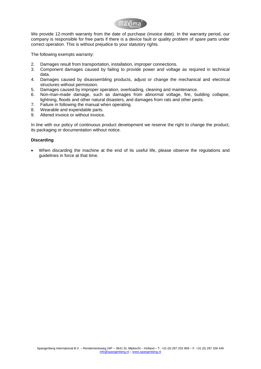

We provide 12-month warranty from the date of purchase (invoice date). In the warranty period, our company is responsible for free parts if there is a device fault or quality problem of spare parts under correct operation. This is without prejudice to your statutory rights.

The following exempts warranty:

- 2. Damages result from transportation, installation, improper connections.
- 3. Component damages caused by failing to provide power and voltage as required in technical data.
- 4. Damages caused by disassembling products, adjust or change the mechanical and electrical structures without permission.
- 5. Damages caused by improper operation, overloading, cleaning and maintenance.
- 6. Non-man-made damage, such as damages from abnormal voltage, fire, building collapse, lightning, floods and other natural disasters, and damages from rats and other pests.
- 7. Failure in following the manual when operating.
- 8. Wearable and expendable parts.
- 9. Altered invoice or without invoice.

In line with our policy of continuous product development we reserve the right to change the product, its packaging or documentation without notice.

## **Discarding**

 When discarding the machine at the end of its useful life, please observe the regulations and guidelines in force at that time.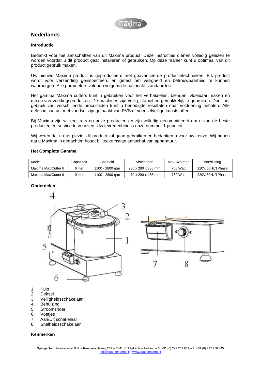

## **Nederlands**

## **Introductie**

Bedankt voor het aanschaffen van dit Maxima product. Deze instructies dienen volledig gelezen te worden voordat u dit product gaat installeren of gebruiken. Op deze manier kunt u optimaal van dit product gebruik maken.

Uw nieuwe Maxima product is geproduceerd met geavanceerde productietechnieken. Elk product wordt voor verzending geϊnspecteerd en getest om veiligheid en betrouwbaarheid te kunnen waarborgen. Alle parameters voldoen volgens de nationale standaarden.

Het gamma Maxima cutters kunt u gebruiken voor het verhakselen, blenden, vloeibaar maken en mixen van voedingsproducten. De machines zijn veilig, stabiel en gemakkelijk te gebruiken. Door het gebruik van verschillende procestijden kunt u benodigde resultaten naar voldoening behalen. Alle delen in contact met voedsel zijn gemaakt van RVS of voedselveilige kunststoffen.

Bij Maxima zijn wij erg trots op onze producten en zijn volledig gecommitteerd om u van de beste producten en service te voorzien. Uw tevredenheid is onze nummer 1 prioriteit.

Wij weten dat u met plezier dit product zal gaan gebruiken en bedanken u voor uw keuze. Wij hopen dat u Maxima in gedachten houdt bij toekomstige aanschaf van apparatuur.

## **Het Complete Gamma**

| Model               | Capaciteit | Snelheid        | Afmetingen         | Max. Wattage | Aansluiting      |
|---------------------|------------|-----------------|--------------------|--------------|------------------|
| Maxima MaxiCutter 6 | 6 liter    | 1100 - 2800 rpm | 280 x 280 x 380 mm | 750 Watt     | 220V/50Hz/1Phase |
| Maxima MaxiCutter 9 | 9 liter    | 1100 - 2800 rpm | 470 x 290 x 435 mm | 750 Watt     | 220V/50Hz/1Phase |

## **Onderdelen**





- 1. Kuip
- 2. Deksel
- 3. Veiligheidsschakelaar
- 4. Behuizing
- 5. Stroomsnoer
- 6. Voetjes
- 7. Aan/Uit schakelaar
- 8. Snelheidsschakelaar

## **Kenmerken**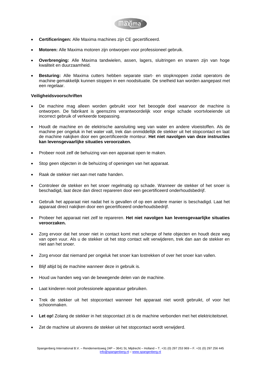

- **Certificeringen:** Alle Maxima machines zijn CE gecertificeerd.
- **Motoren:** Alle Maxima motoren zijn ontworpen voor professioneel gebruik.
- **Overbrenging:** Alle Maxima tandwielen, assen, lagers, sluitringen en snaren zijn van hoge kwaliteit en duurzaamheid.
- **Besturing:** Alle Maxima cutters hebben separate start- en stopknoppen zodat operators de machine gemakkelijk kunnen stoppen in een noodsituatie. De snelheid kan worden aangepast met een regelaar.

## **Veiligheidsvoorschriften**

- De machine mag alleen worden gebruikt voor het beoogde doel waarvoor de machine is ontworpen. De fabrikant is geenszins verantwoordelijk voor enige schade voortvloeiende uit incorrect gebruik of verkeerde toepassing.
- Houdt de machine en de elektrische aansluiting weg van water en andere vloeistoffen. Als de machine per ongeluk in het water valt, trek dan onmiddellijk de stekker uit het stopcontact en laat de machine nakijken door een gecertificeerde monteur. **Het niet navolgen van deze instructies kan levensgevaarlijke situaties veroorzaken.**
- Probeer nooit zelf de behuizing van een apparaat open te maken.
- Stop geen objecten in de behuizing of openingen van het apparaat.
- Raak de stekker niet aan met natte handen.
- Controleer de stekker en het snoer regelmatig op schade. Wanneer de stekker of het snoer is beschadigd, laat deze dan direct repareren door een gecertificeerd onderhoudsbedrijf.
- Gebruik het apparaat niet nadat het is gevallen of op een andere manier is beschadigd. Laat het apparaat direct nakijken door een gecertificeerd onderhoudsbedrijf.
- Probeer het apparaat niet zelf te repareren. **Het niet navolgen kan levensgevaarlijke situaties veroorzaken.**
- Zorg ervoor dat het snoer niet in contact komt met scherpe of hete objecten en houdt deze weg van open vuur. Als u de stekker uit het stop contact wilt verwijderen, trek dan aan de stekker en niet aan het snoer.
- Zorg ervoor dat niemand per ongeluk het snoer kan lostrekken of over het snoer kan vallen.
- Blijf altijd bij de machine wanneer deze in gebruik is.
- Houd uw handen weg van de bewegende delen van de machine.
- Laat kinderen nooit professionele apparatuur gebruiken.
- Trek de stekker uit het stopcontact wanneer het apparaat niet wordt gebruikt, of voor het schoonmaken.
- **Let op!** Zolang de stekker in het stopcontact zit is de machine verbonden met het elektriciteitsnet.
- Zet de machine uit alvorens de stekker uit het stopcontact wordt verwijderd.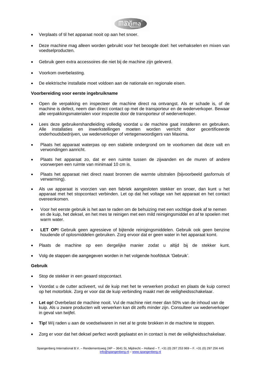

- Verplaats of til het apparaat nooit op aan het snoer.
- Deze machine mag alleen worden gebruikt voor het beoogde doel: het verhakselen en mixen van voedselproducten.
- Gebruik geen extra accessoires die niet bij de machine zijn geleverd.
- Voorkom overbelasting.
- De elektrische installatie moet voldoen aan de nationale en regionale eisen.

## **Voorbereiding voor eerste ingebruikname**

- Open de verpakking en inspecteer de machine direct na ontvangst. Als er schade is, of de machine is defect, neem dan direct contact op met de transporteur en de wederverkoper. Bewaar alle verpakkingsmaterialen voor inspectie door de transporteur of wederverkoper.
- Lees deze gebruikershandleiding volledig voordat u de machine gaat installeren en gebruiken. Alle installaties en inwerkstellingen moeten worden verricht door gecertificeerde onderhoudsbedrijven, uw wederverkoper of vertegenwoordigers van Maxima.
- Plaats het apparaat waterpas op een stabiele ondergrond om te voorkomen dat deze valt en verwondingen aanricht.
- Plaats het apparaat zo, dat er een ruimte tussen de zijwanden en de muren of andere voorwerpen een ruimte van minimaal 10 cm is.
- Plaats het apparaat niet direct naast bronnen die warmte uitstralen (bijvoorbeeld gasfornuis of verwarming).
- Als uw apparaat is voorzien van een fabriek aangesloten stekker en snoer, dan kunt u het apparaat met het stopcontact verbinden. Let op dat het voltage van het apparaat en het contact overeenkomen.
- Voor het eerste gebruik is het aan te raden om de behuizing met een vochtige doek af te nemen en de kuip, het deksel, en het mes te reinigen met een mild reinigingsmiddel en af te spoelen met warm water.
- **LET OP!** Gebruik geen agressieve of bijtende reinigingsmiddelen. Gebruik ook geen benzine houdende of oplosmiddelen gebruiken. Zorg ervoor dat er geen water in het apparaat komt.
- Plaats de machine op een dergelijke manier zodat u altijd bij de stekker kunt.
- Volg de stappen die aangegeven worden in het volgende hoofdstuk 'Gebruik'.

## **Gebruik**

- Stop de stekker in een geaard stopcontact.
- Voordat u de cutter activeert, vul de kuip met het te verwerken product en plaats de kuip correct op het motorblok. Zorg er voor dat de kuip verbinding maakt met de veiligheidsschakelaar.
- **Let op!** Overbelast de machine nooit. Vul de machine niet meer dan 50% van de inhoud van de kuip. Als u zware producten wilt verwerken kan dit zelfs minder zijn. Consulteer uw wederverkoper in geval van twijfel.
- **Tip!** Wij raden u aan de voedselwaren in niet al te grote brokken in de machine te stoppen.
- Zorg er voor dat het deksel perfect wordt geplaatst en in contact is met de veiligheidsschakelaar.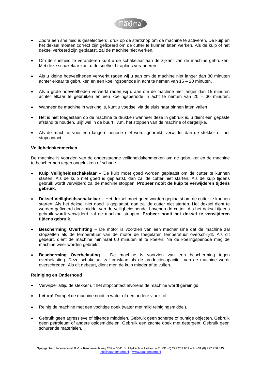

- Zodra een snelheid is geselecteerd, druk op de startknop om de machine te activeren. De kuip en het deksel moeten correct zijn gefixeerd om de cutter te kunnen laten werken. Als de kuip of het deksel verkeerd zijn geplaatst, zal de machine niet werken.
- Om de snelheid te veranderen kunt u de schakelaar aan de zijkant van de machine gebruiken. Met deze schakelaar kunt u de snelheid traploos veranderen.
- Als u kleine hoeveelheden verwerkt raden wij u aan om de machine niet langer dan 30 minuten achter elkaar te gebruiken en een koelingsperiode in acht te nemen van 15 – 20 minuten.
- Als u grote hoeveelheden verwerkt raden wij u aan om de machine niet langer dan 15 minuten achter elkaar te gebruiken en een koelingsperiode in acht te nemen van 20 – 30 minuten.
- Wanneer de machine in werking is, kunt u voedsel via de sluis naar binnen laten vallen.
- Het is niet toegestaan op de machine te drukken wanneer deze in gebruik is, u dient een gepaste afstand te houden. Blijf wel in de buurt i.v.m. het stoppen van de machine of dergelijke.
- Als de machine voor een langere periode niet wordt gebruikt, verwijder dan de stekker uit het stopcontact.

## **Veiligheidskenmerken**

De machine is voorzien van de onderstaande veiligheidskenmerken om de gebruiker en de machine te beschermen tegen ongelukken of schade.

- **Kuip Veiligheidsschakelaar** De kuip moet goed worden geplaatst om de cutter te kunnen starten. Als de kuip niet goed is geplaatst, dan zal de cutter niet starten. Als de kuip tijdens gebruik wordt verwijderd zal de machine stoppen. **Probeer nooit de kuip te verwijderen tijdens gebruik.**
- **Deksel Veiligheidsschakelaar** Het deksel moet goed worden geplaatst om de cutter te kunnen starten. Als het deksel niet goed is geplaatst, dan zal de cutter niet starten. Het deksel dient te worden gefixeerd door middel van de veiligheidshendel bovenop de cutter. Als het deksel tijdens gebruik wordt verwijderd zal de machine stoppen. **Probeer nooit het deksel te verwijderen tijdens gebruik.**
- **Bescherming Overhitting** De motor is voorzien van een mechanisme dat de machine zal stopzetten als de temperatuur van de motor de toegelaten temperatuur overschrijdt. Als dit gebeurt, dient de machine minimaal 60 minuten af te koelen. Na de koelingsperiode mag de machine weer worden gebruikt.
- **Bescherming Overbelasting** De machine is voorzien van een bescherming tegen overbelasting. Deze schakelaar zal omslaan als de productiecapaciteit van de machine wordt overschreden. Als dit gebeurt, dient men de kuip minder af te vullen.

## **Reiniging en Onderhoud**

- Verwijder altijd de stekker uit het stopcontact alvorens de machine wordt gereinigd.
- Let op! Dompel de machine nooit in water of een andere vloeistof.
- Reinig de machine met een vochtige doek (water met mild reinigingsmiddel).
- Gebruik geen agressieve of bijtende middelen. Gebruik geen scherpe of puntige objecten. Gebruik geen petroleum of andere oplosmiddelen. Gebruik een zachte doek met detergent. Gebruik geen schurende materialen.